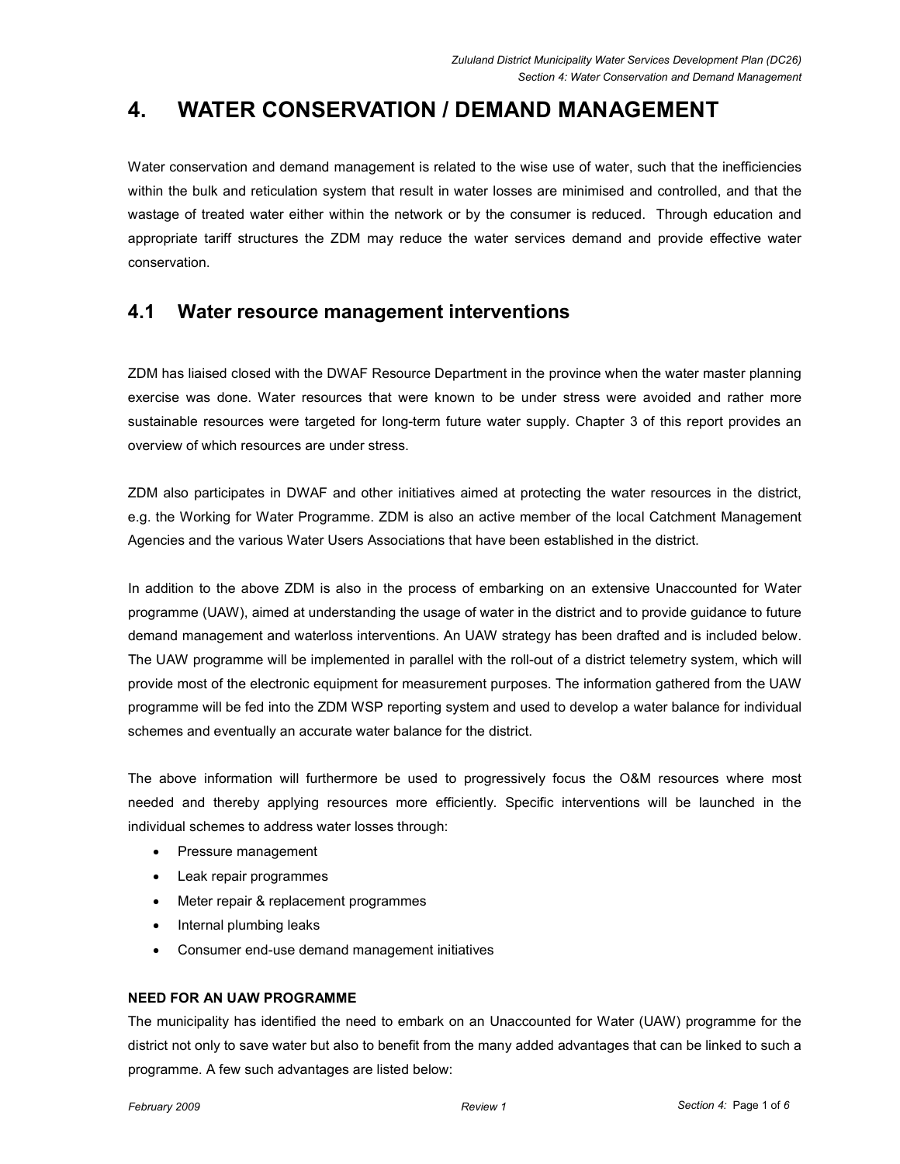# 4. WATER CONSERVATION / DEMAND MANAGEMENT

Water conservation and demand management is related to the wise use of water, such that the inefficiencies within the bulk and reticulation system that result in water losses are minimised and controlled, and that the wastage of treated water either within the network or by the consumer is reduced. Through education and appropriate tariff structures the ZDM may reduce the water services demand and provide effective water conservation.

# 4.1 Water resource management interventions

ZDM has liaised closed with the DWAF Resource Department in the province when the water master planning exercise was done. Water resources that were known to be under stress were avoided and rather more sustainable resources were targeted for long-term future water supply. Chapter 3 of this report provides an overview of which resources are under stress.

ZDM also participates in DWAF and other initiatives aimed at protecting the water resources in the district, e.g. the Working for Water Programme. ZDM is also an active member of the local Catchment Management Agencies and the various Water Users Associations that have been established in the district.

In addition to the above ZDM is also in the process of embarking on an extensive Unaccounted for Water programme (UAW), aimed at understanding the usage of water in the district and to provide guidance to future demand management and waterloss interventions. An UAW strategy has been drafted and is included below. The UAW programme will be implemented in parallel with the roll-out of a district telemetry system, which will provide most of the electronic equipment for measurement purposes. The information gathered from the UAW programme will be fed into the ZDM WSP reporting system and used to develop a water balance for individual schemes and eventually an accurate water balance for the district.

The above information will furthermore be used to progressively focus the O&M resources where most needed and thereby applying resources more efficiently. Specific interventions will be launched in the individual schemes to address water losses through:

- Pressure management
- Leak repair programmes
- Meter repair & replacement programmes
- Internal plumbing leaks
- Consumer end-use demand management initiatives

## NEED FOR AN UAW PROGRAMME

The municipality has identified the need to embark on an Unaccounted for Water (UAW) programme for the district not only to save water but also to benefit from the many added advantages that can be linked to such a programme. A few such advantages are listed below: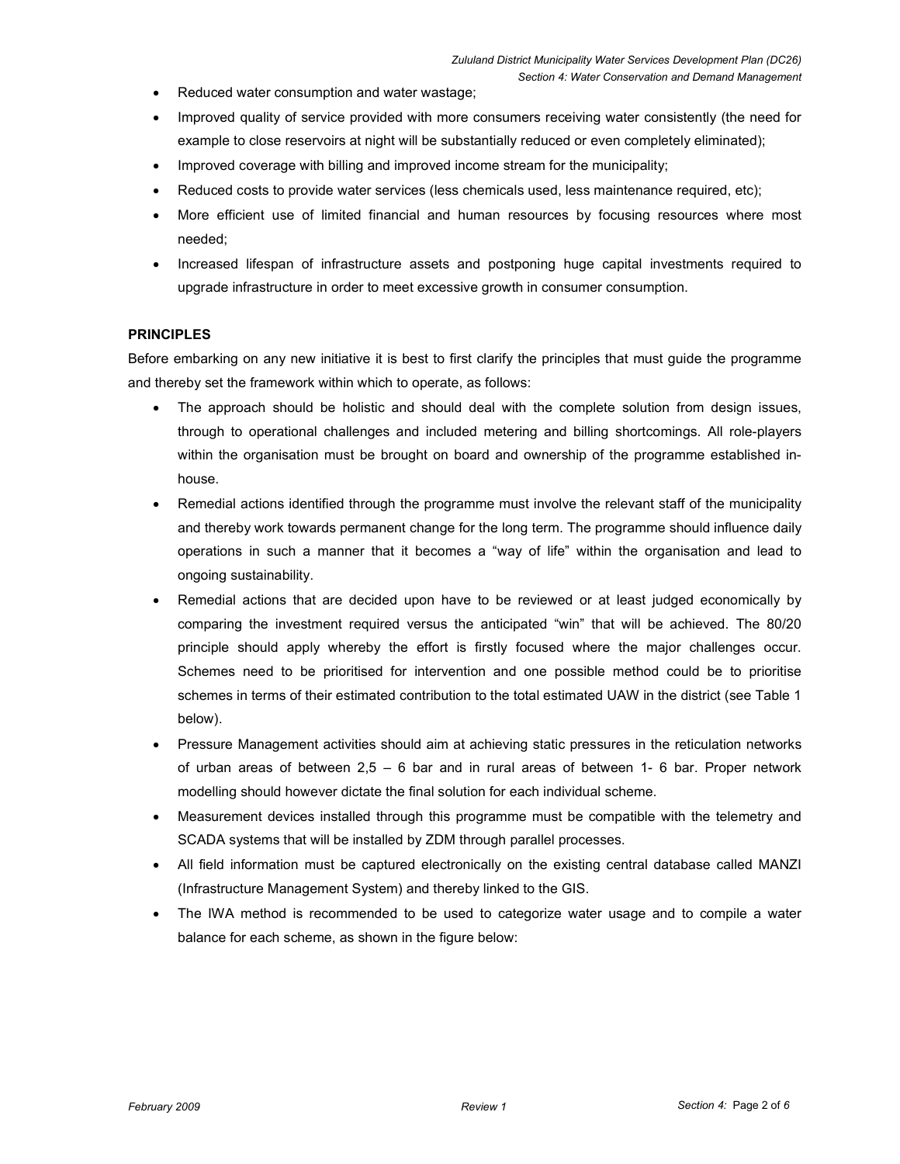- Reduced water consumption and water wastage;
- Improved quality of service provided with more consumers receiving water consistently (the need for example to close reservoirs at night will be substantially reduced or even completely eliminated);
- Improved coverage with billing and improved income stream for the municipality;
- Reduced costs to provide water services (less chemicals used, less maintenance required, etc);
- More efficient use of limited financial and human resources by focusing resources where most needed;
- Increased lifespan of infrastructure assets and postponing huge capital investments required to upgrade infrastructure in order to meet excessive growth in consumer consumption.

### **PRINCIPLES**

Before embarking on any new initiative it is best to first clarify the principles that must guide the programme and thereby set the framework within which to operate, as follows:

- The approach should be holistic and should deal with the complete solution from design issues, through to operational challenges and included metering and billing shortcomings. All role-players within the organisation must be brought on board and ownership of the programme established inhouse.
- Remedial actions identified through the programme must involve the relevant staff of the municipality and thereby work towards permanent change for the long term. The programme should influence daily operations in such a manner that it becomes a "way of life" within the organisation and lead to ongoing sustainability.
- Remedial actions that are decided upon have to be reviewed or at least judged economically by comparing the investment required versus the anticipated "win" that will be achieved. The 80/20 principle should apply whereby the effort is firstly focused where the major challenges occur. Schemes need to be prioritised for intervention and one possible method could be to prioritise schemes in terms of their estimated contribution to the total estimated UAW in the district (see Table 1 below).
- Pressure Management activities should aim at achieving static pressures in the reticulation networks of urban areas of between  $2.5 - 6$  bar and in rural areas of between 1-6 bar. Proper network modelling should however dictate the final solution for each individual scheme.
- Measurement devices installed through this programme must be compatible with the telemetry and SCADA systems that will be installed by ZDM through parallel processes.
- All field information must be captured electronically on the existing central database called MANZI (Infrastructure Management System) and thereby linked to the GIS.
- The IWA method is recommended to be used to categorize water usage and to compile a water balance for each scheme, as shown in the figure below: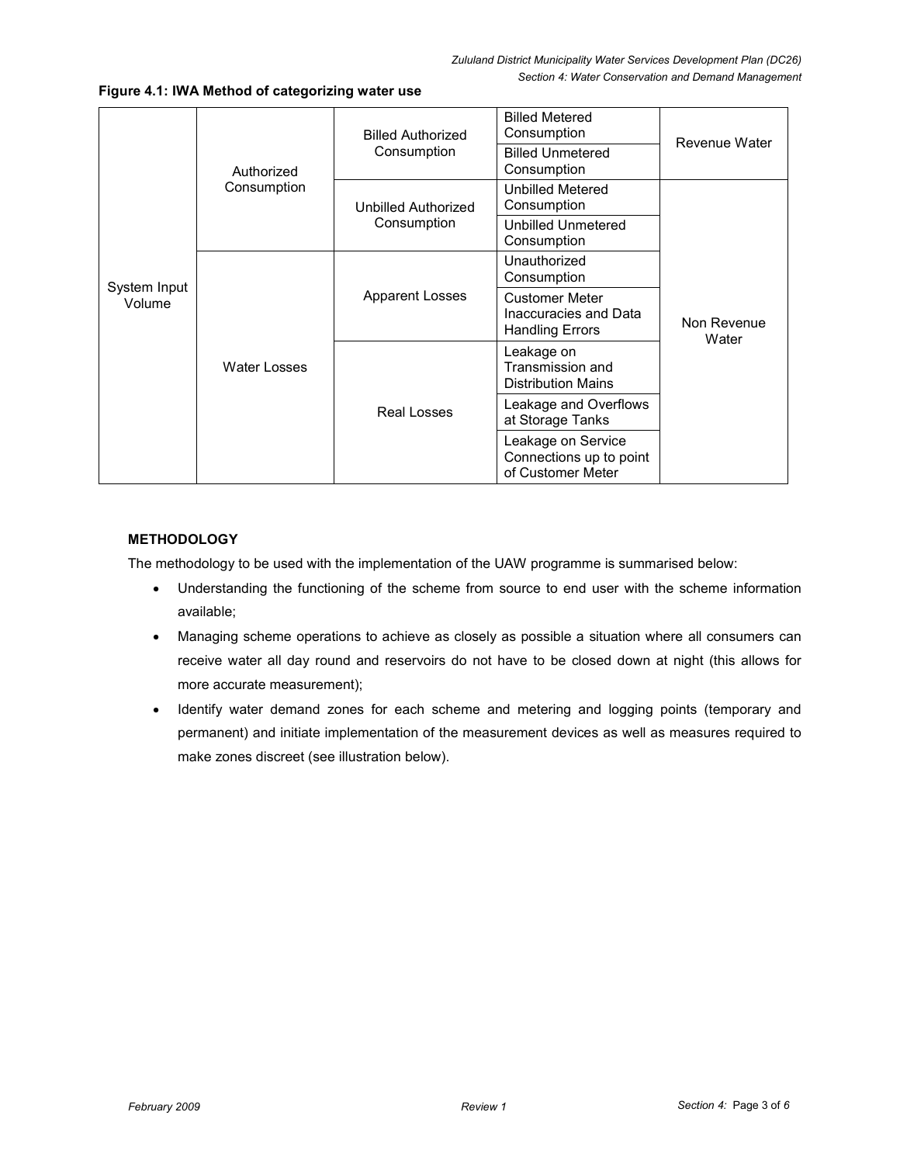| System Input<br>Volume | Authorized<br>Consumption | <b>Billed Authorized</b><br>Consumption | <b>Billed Metered</b><br>Consumption<br><b>Billed Unmetered</b>          | Revenue Water<br>Non Revenue<br>Water |
|------------------------|---------------------------|-----------------------------------------|--------------------------------------------------------------------------|---------------------------------------|
|                        |                           |                                         | Consumption                                                              |                                       |
|                        |                           | Unbilled Authorized<br>Consumption      | <b>Unbilled Metered</b><br>Consumption                                   |                                       |
|                        |                           |                                         | Unbilled Unmetered<br>Consumption                                        |                                       |
|                        | <b>Water Losses</b>       | <b>Apparent Losses</b>                  | Unauthorized<br>Consumption                                              |                                       |
|                        |                           |                                         | <b>Customer Meter</b><br>Inaccuracies and Data<br><b>Handling Errors</b> |                                       |
|                        |                           | Real Losses                             | Leakage on<br>Transmission and<br><b>Distribution Mains</b>              |                                       |
|                        |                           |                                         | Leakage and Overflows<br>at Storage Tanks                                |                                       |
|                        |                           |                                         | Leakage on Service<br>Connections up to point<br>of Customer Meter       |                                       |

Figure 4.1: IWA Method of categorizing water use

## **METHODOLOGY**

The methodology to be used with the implementation of the UAW programme is summarised below:

- Understanding the functioning of the scheme from source to end user with the scheme information available;
- Managing scheme operations to achieve as closely as possible a situation where all consumers can receive water all day round and reservoirs do not have to be closed down at night (this allows for more accurate measurement);
- Identify water demand zones for each scheme and metering and logging points (temporary and permanent) and initiate implementation of the measurement devices as well as measures required to make zones discreet (see illustration below).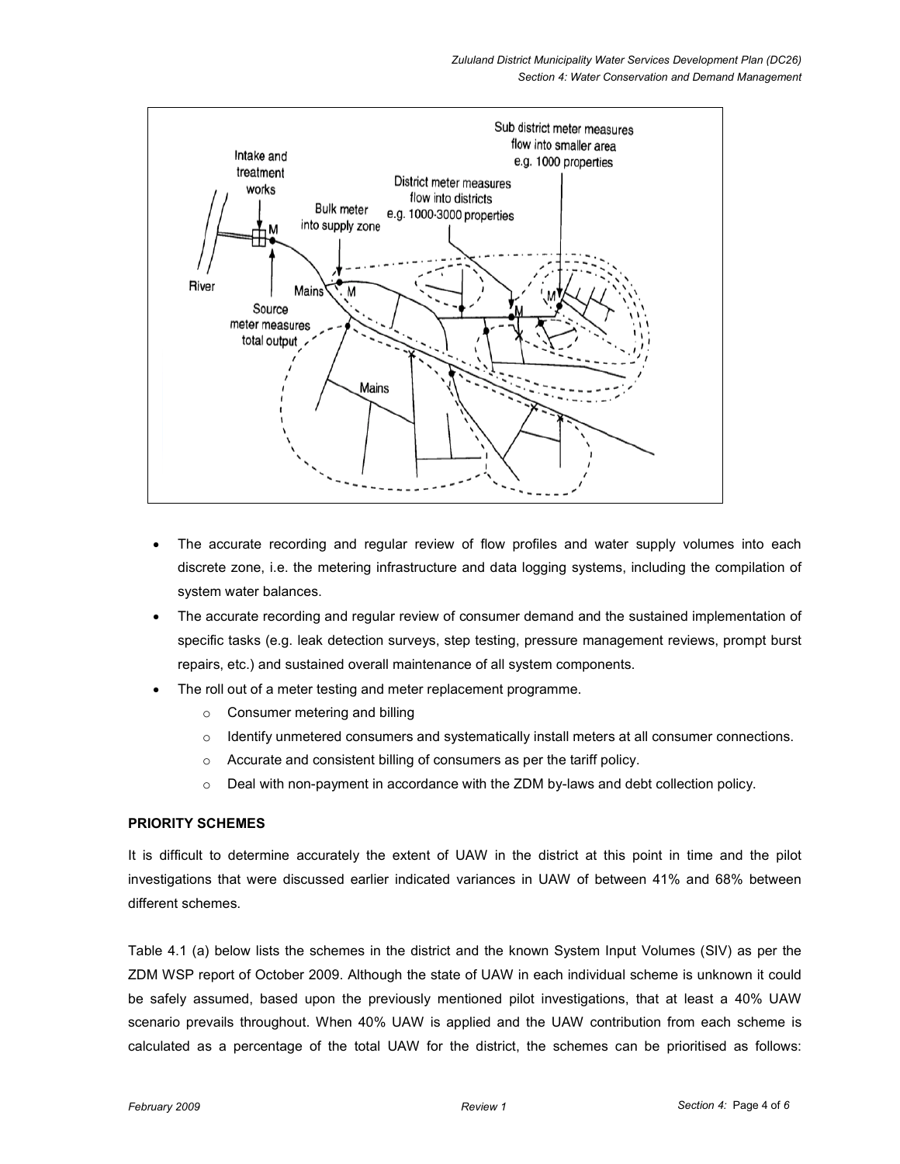

- The accurate recording and regular review of flow profiles and water supply volumes into each discrete zone, i.e. the metering infrastructure and data logging systems, including the compilation of system water balances.
- The accurate recording and regular review of consumer demand and the sustained implementation of specific tasks (e.g. leak detection surveys, step testing, pressure management reviews, prompt burst repairs, etc.) and sustained overall maintenance of all system components.
- The roll out of a meter testing and meter replacement programme.
	- o Consumer metering and billing
	- $\circ$  Identify unmetered consumers and systematically install meters at all consumer connections.
	- o Accurate and consistent billing of consumers as per the tariff policy.
	- o Deal with non-payment in accordance with the ZDM by-laws and debt collection policy.

### PRIORITY SCHEMES

It is difficult to determine accurately the extent of UAW in the district at this point in time and the pilot investigations that were discussed earlier indicated variances in UAW of between 41% and 68% between different schemes.

Table 4.1 (a) below lists the schemes in the district and the known System Input Volumes (SIV) as per the ZDM WSP report of October 2009. Although the state of UAW in each individual scheme is unknown it could be safely assumed, based upon the previously mentioned pilot investigations, that at least a 40% UAW scenario prevails throughout. When 40% UAW is applied and the UAW contribution from each scheme is calculated as a percentage of the total UAW for the district, the schemes can be prioritised as follows: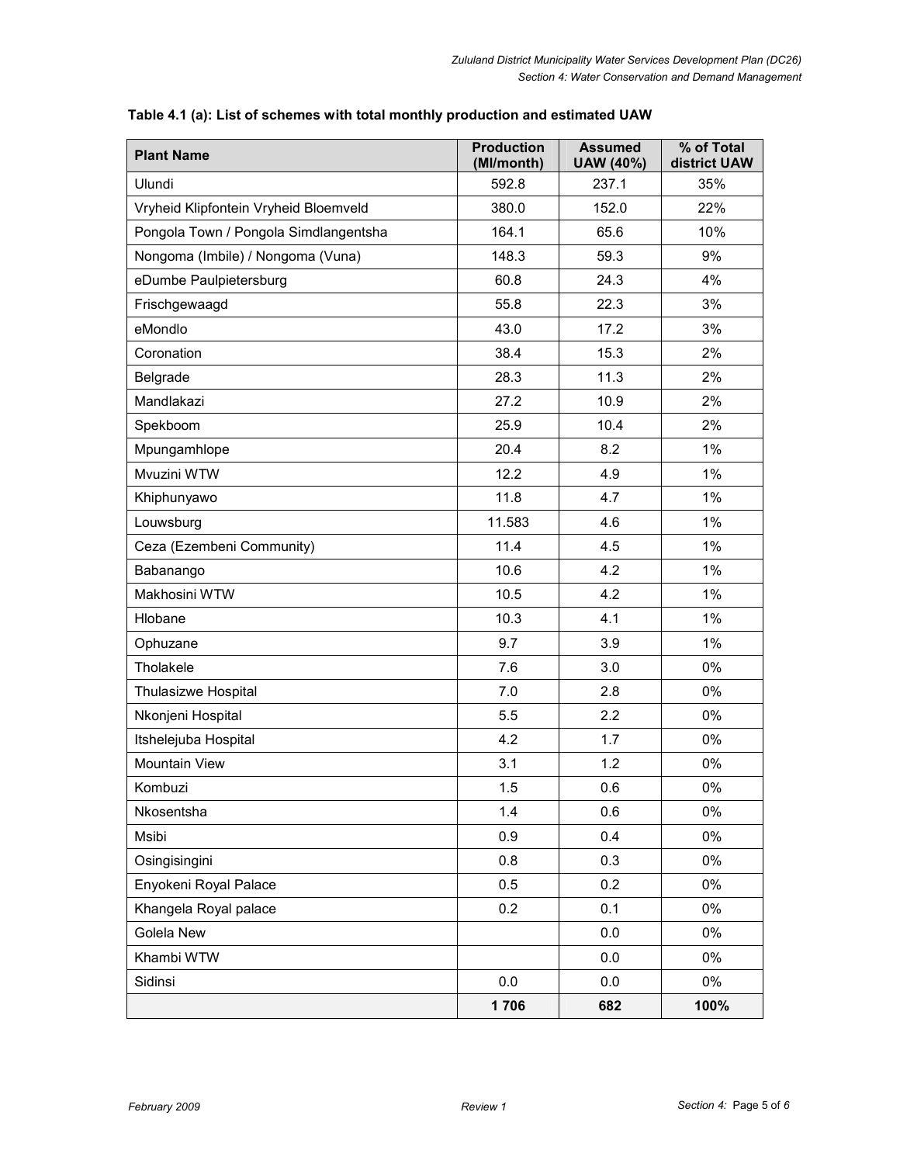| <b>Plant Name</b>                     | <b>Production</b><br>(Ml/month) | <b>Assumed</b><br>UAW (40%) | % of Total<br>district UAW |
|---------------------------------------|---------------------------------|-----------------------------|----------------------------|
| Ulundi                                | 592.8                           | 237.1                       | 35%                        |
| Vryheid Klipfontein Vryheid Bloemveld | 380.0                           | 152.0                       | 22%                        |
| Pongola Town / Pongola Simdlangentsha | 164.1                           | 65.6                        | 10%                        |
| Nongoma (Imbile) / Nongoma (Vuna)     | 148.3                           | 59.3                        | 9%                         |
| eDumbe Paulpietersburg                | 60.8                            | 24.3                        | 4%                         |
| Frischgewaagd                         | 55.8                            | 22.3                        | 3%                         |
| eMondlo                               | 43.0                            | 17.2                        | 3%                         |
| Coronation                            | 38.4                            | 15.3                        | 2%                         |
| Belgrade                              | 28.3                            | 11.3                        | 2%                         |
| Mandlakazi                            | 27.2                            | 10.9                        | 2%                         |
| Spekboom                              | 25.9                            | 10.4                        | 2%                         |
| Mpungamhlope                          | 20.4                            | 8.2                         | $1\%$                      |
| Mvuzini WTW                           | 12.2                            | 4.9                         | $1\%$                      |
| Khiphunyawo                           | 11.8                            | 4.7                         | $1\%$                      |
| Louwsburg                             | 11.583                          | 4.6                         | $1\%$                      |
| Ceza (Ezembeni Community)             | 11.4                            | 4.5                         | $1\%$                      |
| Babanango                             | 10.6                            | 4.2                         | $1\%$                      |
| Makhosini WTW                         | 10.5                            | 4.2                         | $1\%$                      |
| Hlobane                               | 10.3                            | 4.1                         | $1\%$                      |
| Ophuzane                              | 9.7                             | 3.9                         | $1\%$                      |
| Tholakele                             | 7.6                             | 3.0                         | 0%                         |
| Thulasizwe Hospital                   | 7.0                             | 2.8                         | 0%                         |
| Nkonjeni Hospital                     | 5.5                             | 2.2                         | 0%                         |
| Itshelejuba Hospital                  | 4.2                             | 1.7                         | 0%                         |
| <b>Mountain View</b>                  | 3.1                             | 1.2                         | 0%                         |
| Kombuzi                               | 1.5                             | 0.6                         | 0%                         |
| Nkosentsha                            | 1.4                             | 0.6                         | $0\%$                      |
| Msibi                                 | 0.9                             | 0.4                         | $0\%$                      |
| Osingisingini                         | 0.8                             | 0.3                         | 0%                         |
| Enyokeni Royal Palace                 | 0.5                             | 0.2                         | $0\%$                      |
| Khangela Royal palace                 | 0.2                             | 0.1                         | $0\%$                      |
| Golela New                            |                                 | 0.0                         | $0\%$                      |
| Khambi WTW                            |                                 | 0.0                         | 0%                         |
| Sidinsi                               | 0.0                             | 0.0                         | $0\%$                      |
|                                       | 1706                            | 682                         | 100%                       |

## Table 4.1 (a): List of schemes with total monthly production and estimated UAW